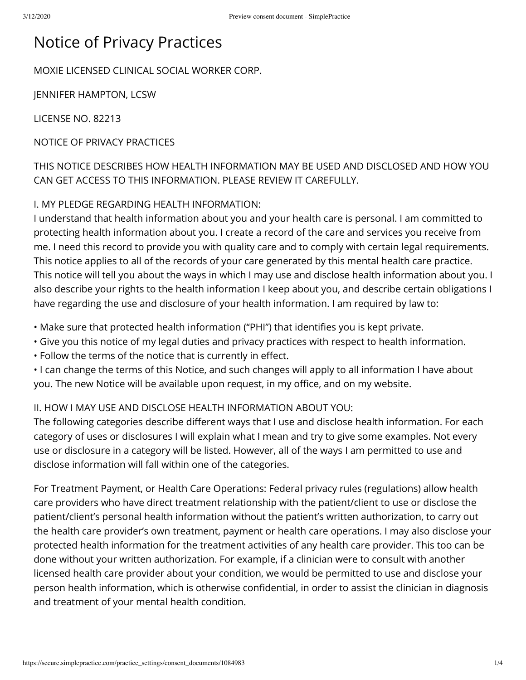# Notice of Privacy Practices

MOXIE LICENSED CLINICAL SOCIAL WORKER CORP.

JENNIFER HAMPTON, LCSW

LICENSE NO. 82213

NOTICE OF PRIVACY PRACTICES

THIS NOTICE DESCRIBES HOW HEALTH INFORMATION MAY BE USED AND DISCLOSED AND HOW YOU CAN GET ACCESS TO THIS INFORMATION. PLEASE REVIEW IT CAREFULLY.

#### I. MY PLEDGE REGARDING HEALTH INFORMATION:

I understand that health information about you and your health care is personal. I am committed to protecting health information about you. I create a record of the care and services you receive from me. I need this record to provide you with quality care and to comply with certain legal requirements. This notice applies to all of the records of your care generated by this mental health care practice. This notice will tell you about the ways in which I may use and disclose health information about you. I also describe your rights to the health information I keep about you, and describe certain obligations I have regarding the use and disclosure of your health information. I am required by law to:

- Make sure that protected health information ("PHI") that identifies you is kept private.
- Give you this notice of my legal duties and privacy practices with respect to health information.
- Follow the terms of the notice that is currently in effect.

• I can change the terms of this Notice, and such changes will apply to all information I have about you. The new Notice will be available upon request, in my office, and on my website.

### II. HOW I MAY USE AND DISCLOSE HEALTH INFORMATION ABOUT YOU:

The following categories describe different ways that I use and disclose health information. For each category of uses or disclosures I will explain what I mean and try to give some examples. Not every use or disclosure in a category will be listed. However, all of the ways I am permitted to use and disclose information will fall within one of the categories.

For Treatment Payment, or Health Care Operations: Federal privacy rules (regulations) allow health care providers who have direct treatment relationship with the patient/client to use or disclose the patient/client's personal health information without the patient's written authorization, to carry out the health care provider's own treatment, payment or health care operations. I may also disclose your protected health information for the treatment activities of any health care provider. This too can be done without your written authorization. For example, if a clinician were to consult with another licensed health care provider about your condition, we would be permitted to use and disclose your person health information, which is otherwise confidential, in order to assist the clinician in diagnosis and treatment of your mental health condition.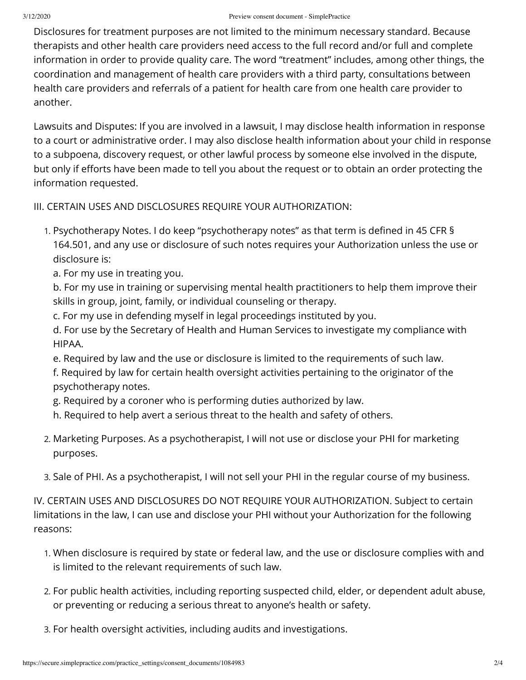Disclosures for treatment purposes are not limited to the minimum necessary standard. Because therapists and other health care providers need access to the full record and/or full and complete information in order to provide quality care. The word "treatment" includes, among other things, the coordination and management of health care providers with a third party, consultations between health care providers and referrals of a patient for health care from one health care provider to another.

Lawsuits and Disputes: If you are involved in a lawsuit, I may disclose health information in response to a court or administrative order. I may also disclose health information about your child in response to a subpoena, discovery request, or other lawful process by someone else involved in the dispute, but only if efforts have been made to tell you about the request or to obtain an order protecting the information requested.

## III. CERTAIN USES AND DISCLOSURES REQUIRE YOUR AUTHORIZATION:

- 1. Psychotherapy Notes. I do keep "psychotherapy notes" as that term is defined in 45 CFR § 164.501, and any use or disclosure of such notes requires your Authorization unless the use or disclosure is:
	- a. For my use in treating you.

b. For my use in training or supervising mental health practitioners to help them improve their skills in group, joint, family, or individual counseling or therapy.

c. For my use in defending myself in legal proceedings instituted by you.

d. For use by the Secretary of Health and Human Services to investigate my compliance with HIPAA.

e. Required by law and the use or disclosure is limited to the requirements of such law.

f. Required by law for certain health oversight activities pertaining to the originator of the psychotherapy notes.

- g. Required by a coroner who is performing duties authorized by law.
- h. Required to help avert a serious threat to the health and safety of others.
- 2. Marketing Purposes. As a psychotherapist, I will not use or disclose your PHI for marketing purposes.
- 3. Sale of PHI. As a psychotherapist, I will not sell your PHI in the regular course of my business.

IV. CERTAIN USES AND DISCLOSURES DO NOT REQUIRE YOUR AUTHORIZATION. Subject to certain limitations in the law, I can use and disclose your PHI without your Authorization for the following reasons:

- 1. When disclosure is required by state or federal law, and the use or disclosure complies with and is limited to the relevant requirements of such law.
- 2. For public health activities, including reporting suspected child, elder, or dependent adult abuse, or preventing or reducing a serious threat to anyone's health or safety.
- 3. For health oversight activities, including audits and investigations.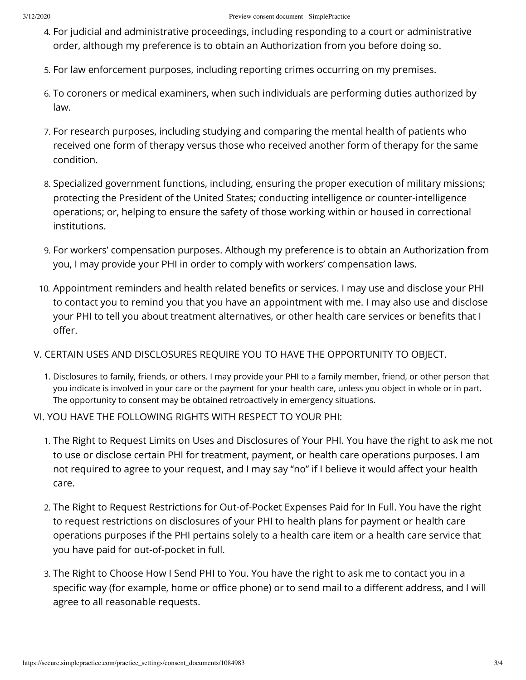- 4. For judicial and administrative proceedings, including responding to a court or administrative order, although my preference is to obtain an Authorization from you before doing so.
- 5. For law enforcement purposes, including reporting crimes occurring on my premises.
- 6. To coroners or medical examiners, when such individuals are performing duties authorized by law.
- 7. For research purposes, including studying and comparing the mental health of patients who received one form of therapy versus those who received another form of therapy for the same condition.
- 8. Specialized government functions, including, ensuring the proper execution of military missions; protecting the President of the United States; conducting intelligence or counter-intelligence operations; or, helping to ensure the safety of those working within or housed in correctional institutions.
- 9. For workers' compensation purposes. Although my preference is to obtain an Authorization from you, I may provide your PHI in order to comply with workers' compensation laws.
- 10. Appointment reminders and health related benefits or services. I may use and disclose your PHI to contact you to remind you that you have an appointment with me. I may also use and disclose your PHI to tell you about treatment alternatives, or other health care services or benefits that I offer.
- V. CERTAIN USES AND DISCLOSURES REQUIRE YOU TO HAVE THE OPPORTUNITY TO OBJECT.
	- 1. Disclosures to family, friends, or others. I may provide your PHI to a family member, friend, or other person that you indicate is involved in your care or the payment for your health care, unless you object in whole or in part. The opportunity to consent may be obtained retroactively in emergency situations.
- VI. YOU HAVE THE FOLLOWING RIGHTS WITH RESPECT TO YOUR PHI:
	- 1. The Right to Request Limits on Uses and Disclosures of Your PHI. You have the right to ask me not to use or disclose certain PHI for treatment, payment, or health care operations purposes. I am not required to agree to your request, and I may say "no" if I believe it would affect your health care.
	- 2. The Right to Request Restrictions for Out-of-Pocket Expenses Paid for In Full. You have the right to request restrictions on disclosures of your PHI to health plans for payment or health care operations purposes if the PHI pertains solely to a health care item or a health care service that you have paid for out-of-pocket in full.
	- 3. The Right to Choose How I Send PHI to You. You have the right to ask me to contact you in a specific way (for example, home or office phone) or to send mail to a different address, and I will agree to all reasonable requests.